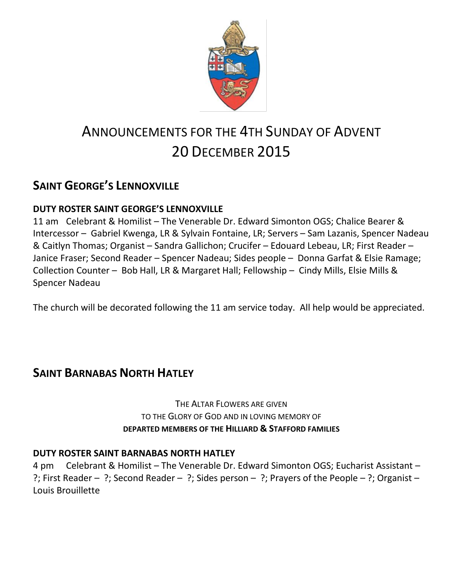

# ANNOUNCEMENTS FOR THE 4TH SUNDAY OF ADVENT 20 DECEMBER 2015

## **SAINT GEORGE'S LENNOXVILLE**

### **DUTY ROSTER SAINT GEORGE'S LENNOXVILLE**

11 am Celebrant & Homilist – The Venerable Dr. Edward Simonton OGS; Chalice Bearer & Intercessor – Gabriel Kwenga, LR & Sylvain Fontaine, LR; Servers – Sam Lazanis, Spencer Nadeau & Caitlyn Thomas; Organist – Sandra Gallichon; Crucifer – Edouard Lebeau, LR; First Reader – Janice Fraser; Second Reader – Spencer Nadeau; Sides people – Donna Garfat & Elsie Ramage; Collection Counter – Bob Hall, LR & Margaret Hall; Fellowship – Cindy Mills, Elsie Mills & Spencer Nadeau

The church will be decorated following the 11 am service today. All help would be appreciated.

### **SAINT BARNABAS NORTH HATLEY**

THE ALTAR FLOWERS ARE GIVEN TO THE GLORY OF GOD AND IN LOVING MEMORY OF **DEPARTED MEMBERS OF THE HILLIARD & STAFFORD FAMILIES**

### **DUTY ROSTER SAINT BARNABAS NORTH HATLEY**

4 pm Celebrant & Homilist – The Venerable Dr. Edward Simonton OGS; Eucharist Assistant – ?; First Reader – ?; Second Reader – ?; Sides person – ?; Prayers of the People – ?; Organist – Louis Brouillette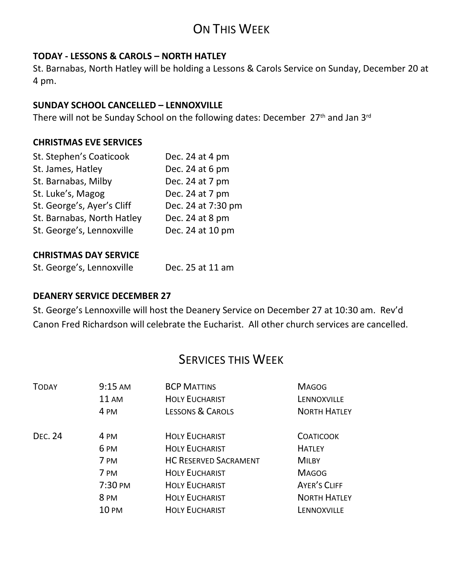# ON THIS WEEK

### **TODAY - LESSONS & CAROLS – NORTH HATLEY**

St. Barnabas, North Hatley will be holding a Lessons & Carols Service on Sunday, December 20 at 4 pm.

### **SUNDAY SCHOOL CANCELLED – LENNOXVILLE**

There will not be Sunday School on the following dates: December 27<sup>th</sup> and Jan 3<sup>rd</sup>

#### **CHRISTMAS EVE SERVICES**

| Dec. 24 at 4 pm    |
|--------------------|
| Dec. 24 at 6 pm    |
| Dec. 24 at 7 pm    |
| Dec. 24 at 7 pm    |
| Dec. 24 at 7:30 pm |
| Dec. 24 at 8 pm    |
| Dec. 24 at 10 pm   |
|                    |

#### **CHRISTMAS DAY SERVICE**

| St. George's, Lennoxville | Dec. 25 at 11 am |
|---------------------------|------------------|
|                           |                  |

#### **DEANERY SERVICE DECEMBER 27**

St. George's Lennoxville will host the Deanery Service on December 27 at 10:30 am. Rev'd Canon Fred Richardson will celebrate the Eucharist. All other church services are cancelled.

### SERVICES THIS WEEK

| <b>TODAY</b>   | 9:15 AM            | <b>BCP MATTINS</b>           | <b>MAGOG</b>        |
|----------------|--------------------|------------------------------|---------------------|
|                | <b>11 AM</b>       | <b>HOLY EUCHARIST</b>        | LENNOXVILLE         |
|                | 4 PM               | LESSONS & CAROLS             | <b>NORTH HATLEY</b> |
| <b>DEC. 24</b> | 4 PM               | <b>HOLY EUCHARIST</b>        | <b>COATICOOK</b>    |
|                | 6 <sub>PM</sub>    | <b>HOLY EUCHARIST</b>        | <b>HATLEY</b>       |
|                | 7 PM               | <b>HC RESERVED SACRAMENT</b> | <b>MILBY</b>        |
|                | 7 PM               | <b>HOLY EUCHARIST</b>        | <b>MAGOG</b>        |
|                | $7:30 \text{ }$ PM | <b>HOLY EUCHARIST</b>        | <b>AYER'S CLIFF</b> |
|                | 8 <sub>PM</sub>    | <b>HOLY EUCHARIST</b>        | <b>NORTH HATLEY</b> |
|                | <b>10 PM</b>       | <b>HOLY EUCHARIST</b>        | Lennoxville         |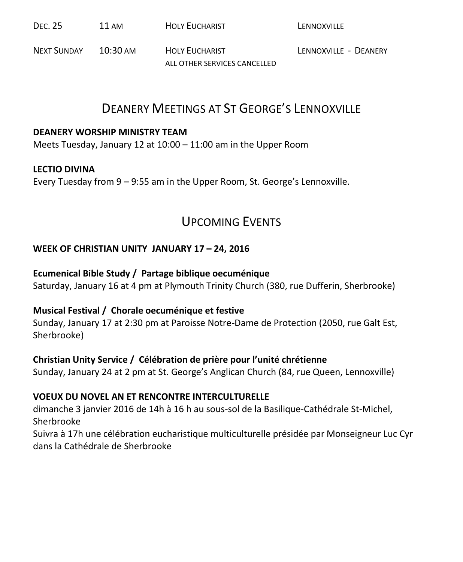| <b>DEC. 25</b> | 11 AM | <b>HOLY EUCHARIST</b> | LENNOXVILLE |
|----------------|-------|-----------------------|-------------|
|                |       |                       |             |

NEXT SUNDAY 10:30 AM HOLY FUCHARIST LENNOXVILLE - DEANERY ALL OTHER SERVICES CANCELLED

### DEANERY MEETINGS AT ST GEORGE'S LENNOXVILLE

#### **DEANERY WORSHIP MINISTRY TEAM**

Meets Tuesday, January 12 at 10:00 – 11:00 am in the Upper Room

### **LECTIO DIVINA**

Every Tuesday from 9 – 9:55 am in the Upper Room, St. George's Lennoxville.

### UPCOMING EVENTS

### **WEEK OF CHRISTIAN UNITY JANUARY 17 – 24, 2016**

#### **Ecumenical Bible Study / Partage biblique oecuménique**

Saturday, January 16 at 4 pm at Plymouth Trinity Church (380, rue Dufferin, Sherbrooke)

### **Musical Festival / Chorale oecuménique et festive**

Sunday, January 17 at 2:30 pm at Paroisse Notre-Dame de Protection (2050, rue Galt Est, Sherbrooke)

### **Christian Unity Service / Célébration de prière pour l'unité chrétienne**

Sunday, January 24 at 2 pm at St. George's Anglican Church (84, rue Queen, Lennoxville)

### **VOEUX DU NOVEL AN ET RENCONTRE INTERCULTURELLE**

dimanche 3 janvier 2016 de 14h à 16 h au sous-sol de la Basilique-Cathédrale St-Michel, Sherbrooke

Suivra à 17h une célébration eucharistique multiculturelle présidée par Monseigneur Luc Cyr dans la Cathédrale de Sherbrooke